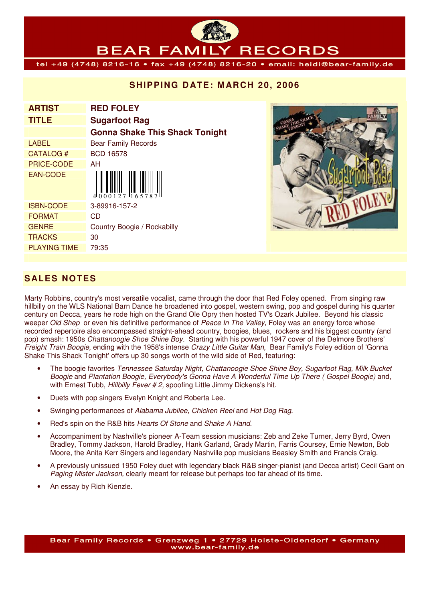#### BEAR FAMI **RECORDS**

tel +49 (4748) 8216-16 • fax +49 (4748) 8216-20 • email: heidi@bear-family.de

### **SHIPPING DATE: MARCH 20, 2006**

| <b>ARTIST</b>       | <b>RED FOLEY</b>                      |
|---------------------|---------------------------------------|
| <b>TITLE</b>        | <b>Sugarfoot Rag</b>                  |
|                     | <b>Gonna Shake This Shack Tonight</b> |
| LABEL               | <b>Bear Family Records</b>            |
| CATALOG#            | <b>BCD 16578</b>                      |
| <b>PRICE-CODE</b>   | AH                                    |
| <b>EAN-CODE</b>     | $4000127$ $16578$                     |
| <b>ISBN-CODE</b>    | 3-89916-157-2                         |
| <b>FORMAT</b>       | CD                                    |
| <b>GENRE</b>        | Country Boogie / Rockabilly           |
| TRACKS              | 30                                    |
| <b>PLAYING TIME</b> | 79:35                                 |
|                     |                                       |



# **S ALES NOTES**

Marty Robbins, country's most versatile vocalist, came through the door that Red Foley opened. From singing raw hillbilly on the WLS National Barn Dance he broadened into gospel, western swing, pop and gospel during his quarter century on Decca, years he rode high on the Grand Ole Opry then hosted TV's Ozark Jubilee. Beyond his classic weeper Old Shep or even his definitive performance of Peace In The Valley, Foley was an energy force whose recorded repertoire also encompassed straight-ahead country, boogies, blues, rockers and his biggest country (and pop) smash: 1950s Chattanoogie Shoe Shine Boy. Starting with his powerful 1947 cover of the Delmore Brothers' Freight Train Boogie, ending with the 1958's intense Crazy Little Guitar Man. Bear Family's Foley edition of 'Gonna Shake This Shack Tonight' offers up 30 songs worth of the wild side of Red, featuring:

- The boogie favorites Tennessee Saturday Night, Chattanoogie Shoe Shine Boy, Sugarfoot Rag, Milk Bucket Boogie and Plantation Boogie, Everybody's Gonna Have A Wonderful Time Up There ( Gospel Boogie) and, with Ernest Tubb, Hillbilly Fever # 2, spoofing Little Jimmy Dickens's hit.
- Duets with pop singers Evelyn Knight and Roberta Lee.
- Swinging performances of Alabama Jubilee, Chicken Reel and Hot Dog Rag.
- Red's spin on the R&B hits Hearts Of Stone and Shake A Hand.
- Accompaniment by Nashville's pioneer A-Team session musicians: Zeb and Zeke Turner, Jerry Byrd, Owen Bradley, Tommy Jackson, Harold Bradley, Hank Garland, Grady Martin, Farris Coursey, Ernie Newton, Bob Moore, the Anita Kerr Singers and legendary Nashville pop musicians Beasley Smith and Francis Craig.
- A previously unissued 1950 Foley duet with legendary black R&B singer-pianist (and Decca artist) Cecil Gant on Paging Mister Jackson, clearly meant for release but perhaps too far ahead of its time.
- An essay by Rich Kienzle.